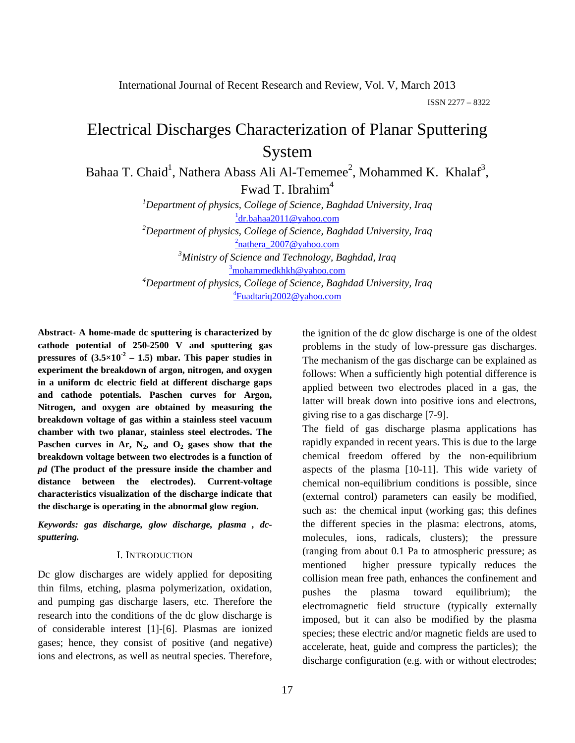International Journal of Recent Research and Review, Vol. V, March 2013

ISSN 2277 – 8322

# Electrical Discharges Characterization of Planar Sputtering System

Bahaa T. Chaid<sup>1</sup>, Nathera Abass Ali Al-Tememee<sup>2</sup>, Mohammed K. Khalaf<sup>3</sup>, Fwad T. Ibrahim<sup>4</sup>

> *1 Department of physics, College of Science, Baghdad University, Iraq* <sup>1</sup>dr.bahaa2011@yahoo.com *2 Department of physics, College of Science, Baghdad University, Iraq* <sup>2</sup>nathera\_2007@yahoo.com

 *Ministry of Science and Technology, Baghdad, Iraq* <sup>3</sup> mohammedkhkh@yahoo.com *Department of physics, College of Science, Baghdad University, Iraq* Fuadtariq2002@yahoo.com

**Abstract- A home-made dc sputtering is characterized by cathode potential of 250-2500 V and sputtering gas pressures of**  $(3.5 \times 10^{-2} - 1.5)$  **mbar. This paper studies in experiment the breakdown of argon, nitrogen, and oxygen in a uniform dc electric field at different discharge gaps and cathode potentials. Paschen curves for Argon, Nitrogen, and oxygen are obtained by measuring the breakdown voltage of gas within a stainless steel vacuum chamber with two planar, stainless steel electrodes. The**  Paschen curves in Ar,  $N_2$ , and  $O_2$  gases show that the **breakdown voltage between two electrodes is a function of**  *pd* **(The product of the pressure inside the chamber and distance between the electrodes). Current-voltage characteristics visualization of the discharge indicate that the discharge is operating in the abnormal glow region.**

*Keywords: gas discharge, glow discharge, plasma , dcsputtering.*

### I. INTRODUCTION

Dc glow discharges are widely applied for depositing thin films, etching, plasma polymerization, oxidation, and pumping gas discharge lasers, etc. Therefore the research into the conditions of the dc glow discharge is of considerable interest [1]-[6]. Plasmas are ionized gases; hence, they consist of positive (and negative) ions and electrons, as well as neutral species. Therefore, the ignition of the dc glow discharge is one of the oldest problems in the study of low-pressure gas discharges. The mechanism of the gas discharge can be explained as follows: When a sufficiently high potential difference is applied between two electrodes placed in a gas, the latter will break down into positive ions and electrons, giving rise to a gas discharge [7-9].

The field of gas discharge plasma applications has rapidly expanded in recent years. This is due to the large chemical freedom offered by the non-equilibrium aspects of the plasma [10-11]. This wide variety of chemical non-equilibrium conditions is possible, since (external control) parameters can easily be modified, such as: the chemical input (working gas; this defines the different species in the plasma: electrons, atoms, molecules, ions, radicals, clusters); the pressure (ranging from about 0.1 Pa to atmospheric pressure; as mentioned higher pressure typically reduces the collision mean free path, enhances the confinement and pushes the plasma toward equilibrium); the electromagnetic field structure (typically externally imposed, but it can also be modified by the plasma species; these electric and/or magnetic fields are used to accelerate, heat, guide and compress the particles); the discharge configuration (e.g. with or without electrodes;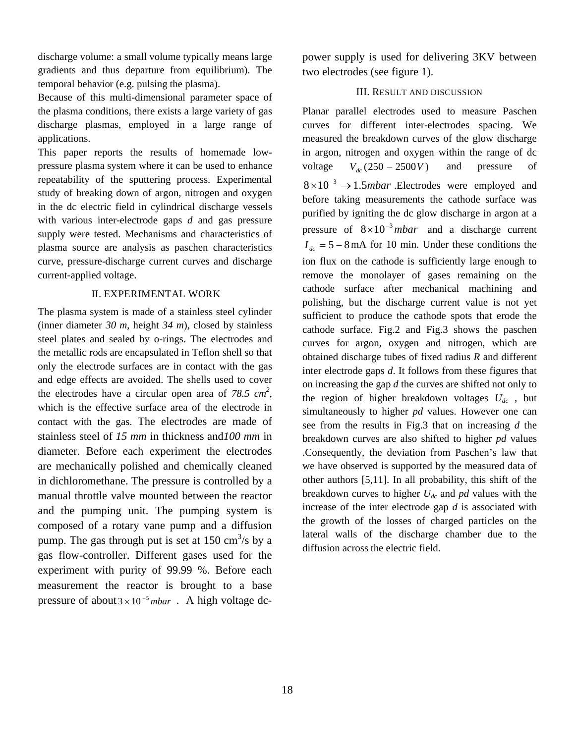discharge volume: a small volume typically means large gradients and thus departure from equilibrium). The temporal behavior (e.g. pulsing the plasma).

Because of this multi-dimensional parameter space of the plasma conditions, there exists a large variety of gas discharge plasmas, employed in a large range of applications.

This paper reports the results of homemade lowpressure plasma system where it can be used to enhance repeatability of the sputtering process. Experimental study of breaking down of argon, nitrogen and oxygen in the dc electric field in cylindrical discharge vessels with various inter-electrode gaps *d* and gas pressure supply were tested. Mechanisms and characteristics of plasma source are analysis as paschen characteristics curve, pressure-discharge current curves and discharge current-applied voltage.

## II. EXPERIMENTAL WORK

The plasma system is made of a stainless steel cylinder (inner diameter *30 m*, height *34 m*), closed by stainless steel plates and sealed by o-rings. The electrodes and the metallic rods are encapsulated in Teflon shell so that only the electrode surfaces are in contact with the gas and edge effects are avoided. The shells used to cover the electrodes have a circular open area of  $78.5 \text{ cm}^2$ , which is the effective surface area of the electrode in contact with the gas. The electrodes are made of stainless steel of *15 mm* in thickness and*100 mm* in diameter. Before each experiment the electrodes are mechanically polished and chemically cleaned in dichloromethane. The pressure is controlled by a manual throttle valve mounted between the reactor and the pumping unit. The pumping system is composed of a rotary vane pump and a diffusion pump. The gas through put is set at  $150 \text{ cm}^3/\text{s}$  by a gas flow-controller. Different gases used for the experiment with purity of 99.99 %. Before each measurement the reactor is brought to a base pressure of about  $3 \times 10^{-5}$  mbar . A high voltage dcpower supply is used for delivering 3KV between two electrodes (see figure 1).

## III. RESULT AND DISCUSSION

Planar parallel electrodes used to measure Paschen curves for different inter-electrodes spacing. We measured the breakdown curves of the glow discharge in argon, nitrogen and oxygen within the range of dc voltage  $V_{dc}$  (250 – 2500*V*) and pressure of  $8 \times 10^{-3} \rightarrow 1.5$ *mbar* Electrodes were employed and before taking measurements the cathode surface was purified by igniting the dc glow discharge in argon at a pressure of  $8 \times 10^{-3}$  mbar and a discharge current  $I_{dc} = 5 - 8$  mA for 10 min. Under these conditions the ion flux on the cathode is sufficiently large enough to remove the monolayer of gases remaining on the cathode surface after mechanical machining and polishing, but the discharge current value is not yet sufficient to produce the cathode spots that erode the cathode surface. Fig.2 and Fig.3 shows the paschen curves for argon, oxygen and nitrogen, which are obtained discharge tubes of fixed radius *R* and different inter electrode gaps *d*. It follows from these figures that on increasing the gap *d* the curves are shifted not only to the region of higher breakdown voltages  $U_{dc}$ , but simultaneously to higher *pd* values. However one can see from the results in Fig.3 that on increasing *d* the breakdown curves are also shifted to higher *pd* values .Consequently, the deviation from Paschen's law that we have observed is supported by the measured data of other authors [5,11]. In all probability, this shift of the breakdown curves to higher *Udc* and *pd* values with the increase of the inter electrode gap *d* is associated with the growth of the losses of charged particles on the lateral walls of the discharge chamber due to the diffusion across the electric field.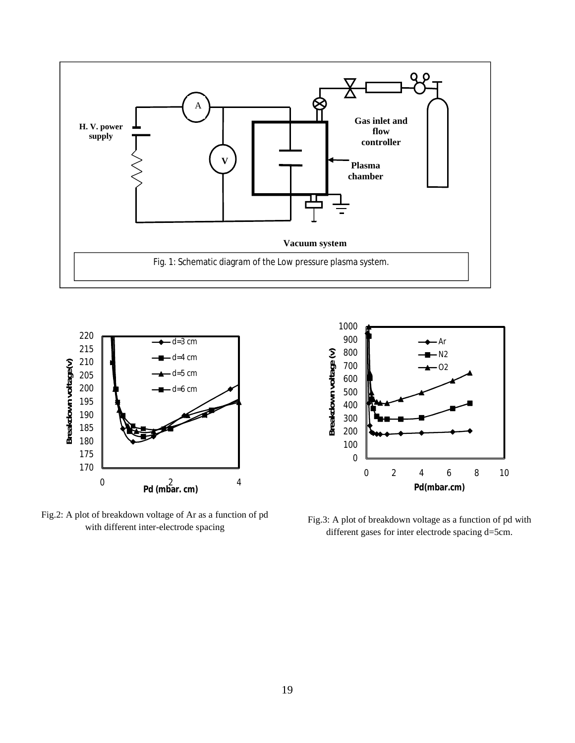



Fig.2: A plot of breakdown voltage of Ar as a function of pd



with different inter-electrode spacing Fig.3: A plot of breakdown voltage as a function of pd with with different inter-electrode spacing different assess for inter-electrode spacing different gases for inter electrode spacing d=5cm.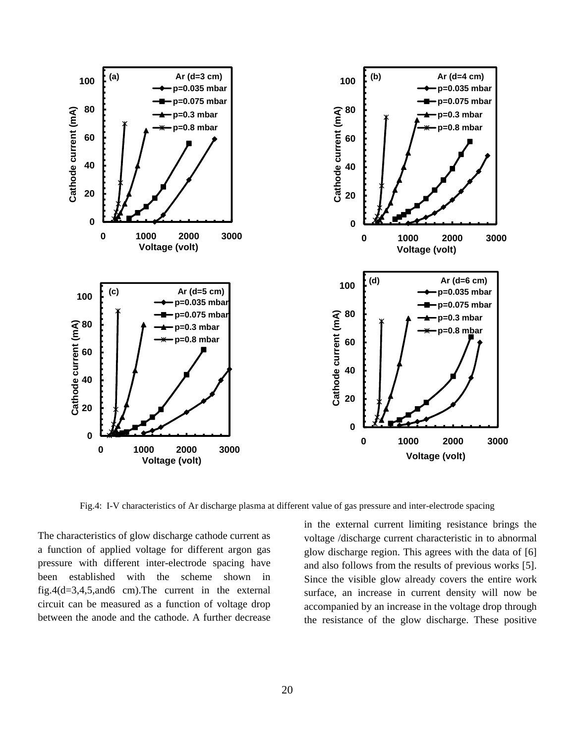

Fig.4: I-V characteristics of Ar discharge plasma at different value of gas pressure and inter-electrode spacing

The characteristics of glow discharge cathode current as a function of applied voltage for different argon gas pressure with different inter-electrode spacing have been established with the scheme shown in fig.4(d=3,4,5,and6 cm).The current in the external circuit can be measured as a function of voltage drop between the anode and the cathode. A further decrease in the external current limiting resistance brings the voltage /discharge current characteristic in to abnormal glow discharge region. This agrees with the data of [6] and also follows from the results of previous works [5]. Since the visible glow already covers the entire work surface, an increase in current density will now be accompanied by an increase in the voltage drop through the resistance of the glow discharge. These positive